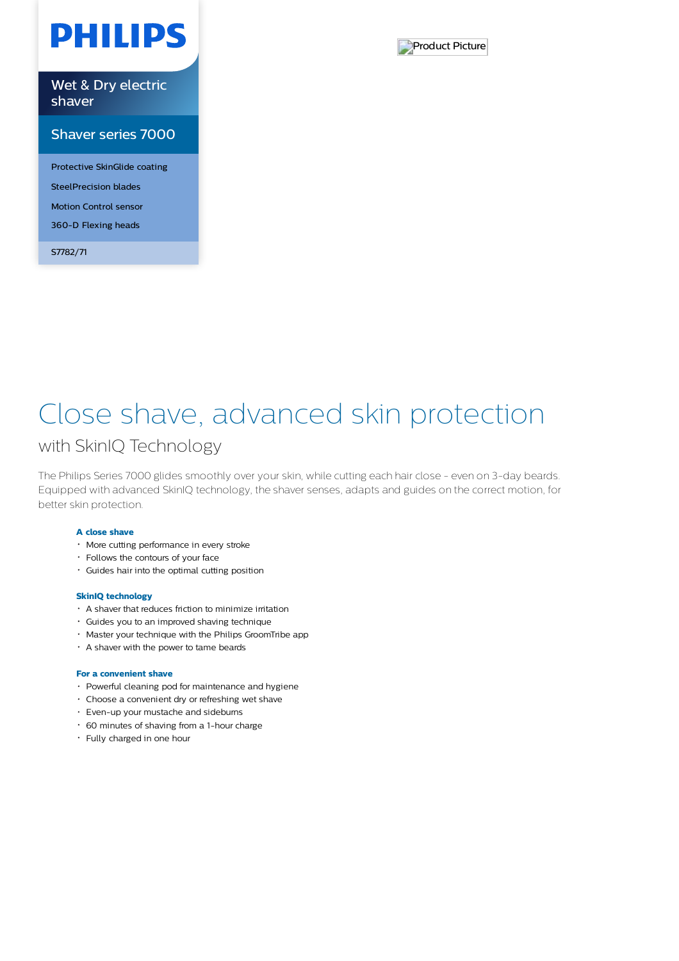# **PHILIPS**

Wet & Dry electric shaver

## Shaver series 7000

Protective SkinGlide coating SteelPrecision blades Motion Control sensor 360-D Flexing heads

S7782/71



# Close shave, advanced skin protection

## with SkinIQ Technology

The Philips Series 7000 glides smoothly over your skin, while cutting each hair close - even on 3-day beards. Equipped with advanced SkinIQ technology, the shaver senses, adapts and guides on the correct motion, for better skin protection.

## **A close shave**

- More cutting performance in every stroke
- Follows the contours of your face
- Guides hair into the optimal cutting position

## **SkinIQ technology**

- A shaver that reduces friction to minimize irritation
- Guides you to an improved shaving technique
- Master your technique with the Philips GroomTribe app
- A shaver with the power to tame beards

## **For a convenient shave**

- Powerful cleaning pod for maintenance and hygiene
- Choose a convenient dry or refreshing wet shave
- Even-up your mustache and sideburns
- 60 minutes of shaving from a 1-hour charge
- Fully charged in one hour